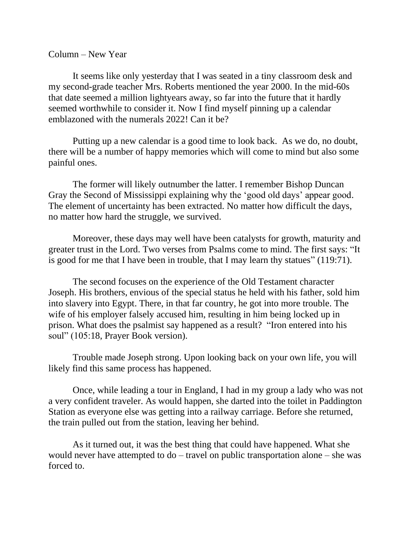## Column – New Year

It seems like only yesterday that I was seated in a tiny classroom desk and my second-grade teacher Mrs. Roberts mentioned the year 2000. In the mid-60s that date seemed a million lightyears away, so far into the future that it hardly seemed worthwhile to consider it. Now I find myself pinning up a calendar emblazoned with the numerals 2022! Can it be?

Putting up a new calendar is a good time to look back. As we do, no doubt, there will be a number of happy memories which will come to mind but also some painful ones.

The former will likely outnumber the latter. I remember Bishop Duncan Gray the Second of Mississippi explaining why the 'good old days' appear good. The element of uncertainty has been extracted. No matter how difficult the days, no matter how hard the struggle, we survived.

Moreover, these days may well have been catalysts for growth, maturity and greater trust in the Lord. Two verses from Psalms come to mind. The first says: "It is good for me that I have been in trouble, that I may learn thy statues" (119:71).

The second focuses on the experience of the Old Testament character Joseph. His brothers, envious of the special status he held with his father, sold him into slavery into Egypt. There, in that far country, he got into more trouble. The wife of his employer falsely accused him, resulting in him being locked up in prison. What does the psalmist say happened as a result? "Iron entered into his soul" (105:18, Prayer Book version).

Trouble made Joseph strong. Upon looking back on your own life, you will likely find this same process has happened.

Once, while leading a tour in England, I had in my group a lady who was not a very confident traveler. As would happen, she darted into the toilet in Paddington Station as everyone else was getting into a railway carriage. Before she returned, the train pulled out from the station, leaving her behind.

As it turned out, it was the best thing that could have happened. What she would never have attempted to do – travel on public transportation alone – she was forced to.